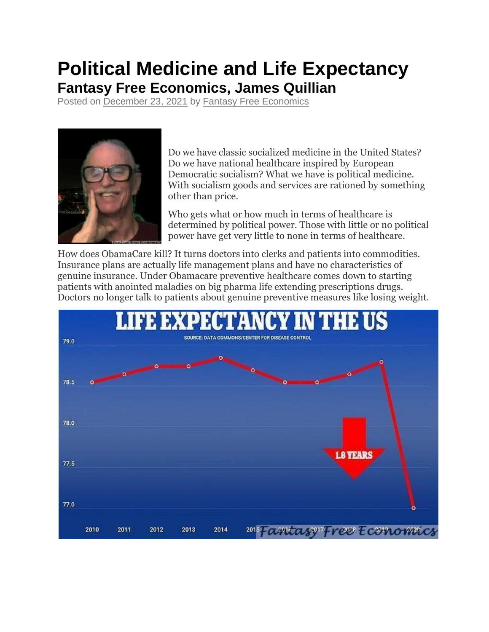## **Political Medicine and Life Expectancy Fantasy Free Economics, James Quillian**

Posted on [December 23, 2021](http://quillian.net/blog/?p=7736) by [Fantasy Free Economics](http://quillian.net/blog/author/james-quillian/)



Do we have classic socialized medicine in the United States? Do we have national healthcare inspired by European Democratic socialism? What we have is political medicine. With socialism goods and services are rationed by something other than price.

Who gets what or how much in terms of healthcare is determined by political power. Those with little or no political power have get very little to none in terms of healthcare.

How does ObamaCare kill? It turns doctors into clerks and patients into commodities. Insurance plans are actually life management plans and have no characteristics of genuine insurance. Under Obamacare preventive healthcare comes down to starting patients with anointed maladies on big pharma life extending prescriptions drugs. Doctors no longer talk to patients about genuine preventive measures like losing weight.